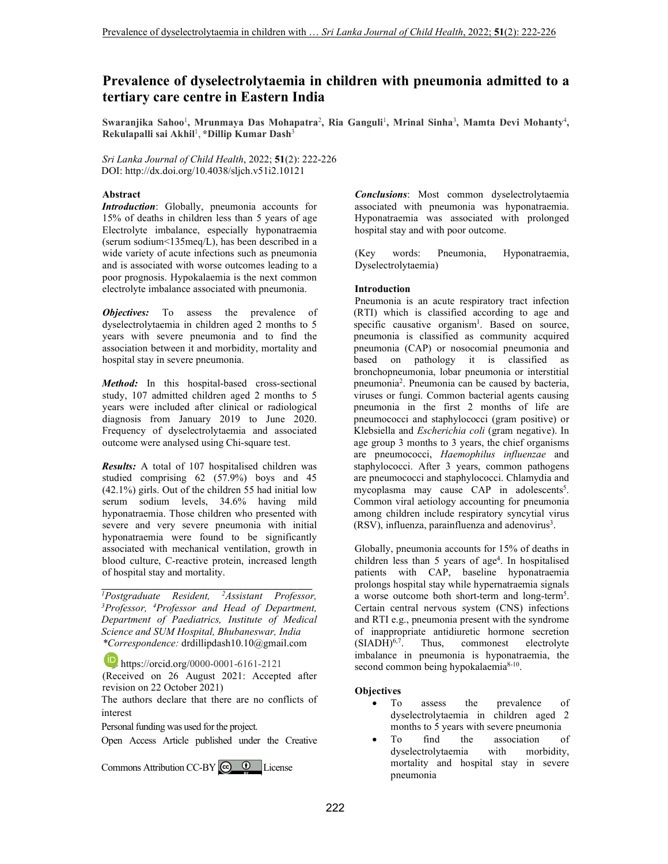# **Prevalence of dyselectrolytaemia in children with pneumonia admitted to a tertiary care centre in Eastern India**

Swaranjika Sahoo<sup>1</sup>, Mrunmaya Das Mohapatra<sup>2</sup>, Ria Ganguli<sup>1</sup>, Mrinal Sinha<sup>3</sup>, Mamta Devi Mohanty<sup>4</sup>, **Rekulapalli sai Akhil**<sup>1</sup> , **\*Dillip Kumar Dash**<sup>3</sup>

*Sri Lanka Journal of Child Health*, 2022; **51**(2): 222-226 DOI: http://dx.doi.org/10.4038/sljch.v51i2.10121

# **Abstract**

*Introduction*: Globally, pneumonia accounts for 15% of deaths in children less than 5 years of age Electrolyte imbalance, especially hyponatraemia (serum sodium<135meq/L), has been described in a wide variety of acute infections such as pneumonia and is associated with worse outcomes leading to a poor prognosis. Hypokalaemia is the next common electrolyte imbalance associated with pneumonia.

*Objectives:* To assess the prevalence of dyselectrolytaemia in children aged 2 months to 5 years with severe pneumonia and to find the association between it and morbidity, mortality and hospital stay in severe pneumonia.

*Method:* In this hospital-based cross-sectional study, 107 admitted children aged 2 months to 5 years were included after clinical or radiological diagnosis from January 2019 to June 2020. Frequency of dyselectrolytaemia and associated outcome were analysed using Chi-square test.

*Results:* A total of 107 hospitalised children was studied comprising 62 (57.9%) boys and 45 (42.1%) girls. Out of the children 55 had initial low serum sodium levels, 34.6% having mild hyponatraemia. Those children who presented with severe and very severe pneumonia with initial hyponatraemia were found to be significantly associated with mechanical ventilation, growth in blood culture, C-reactive protein, increased length of hospital stay and mortality.

*\_\_\_\_\_\_\_\_\_\_\_\_\_\_\_\_\_\_\_\_\_\_\_\_\_\_\_\_\_\_\_\_\_\_\_\_\_\_\_\_\_ <sup>1</sup>Postgraduate Resident, <sup>2</sup>Assistant Professor, <sup>3</sup>Professor, <sup>4</sup>Professor and Head of Department, Department of Paediatrics, Institute of Medical Science and SUM Hospital, Bhubaneswar, India \*Correspondence:* drdillipdash10.10@gmail.com

**b** https://orcid.org/0000-0001-6161-2121

(Received on 26 August 2021: Accepted after revision on 22 October 2021)

The authors declare that there are no conflicts of interest

Personal funding was used for the project.

Open Access Article published under the Creative

Commons Attribution CC-BY  $\bigcirc$   $\bigcirc$  License

*Conclusions*: Most common dyselectrolytaemia associated with pneumonia was hyponatraemia. Hyponatraemia was associated with prolonged hospital stay and with poor outcome.

(Key words: Pneumonia, Hyponatraemia, Dyselectrolytaemia)

# **Introduction**

Pneumonia is an acute respiratory tract infection (RTI) which is classified according to age and specific causative organism<sup>1</sup>. Based on source, pneumonia is classified as community acquired pneumonia (CAP) or nosocomial pneumonia and based on pathology it is classified as bronchopneumonia, lobar pneumonia or interstitial pneumonia<sup>2</sup>. Pneumonia can be caused by bacteria, viruses or fungi. Common bacterial agents causing pneumonia in the first 2 months of life are pneumococci and staphylococci (gram positive) or Klebsiella and *Escherichia coli* (gram negative). In age group 3 months to 3 years, the chief organisms are pneumococci, *Haemophilus influenzae* and staphylococci. After 3 years, common pathogens are pneumococci and staphylococci. Chlamydia and mycoplasma may cause CAP in adolescents<sup>5</sup>. Common viral aetiology accounting for pneumonia among children include respiratory syncytial virus (RSV), influenza, parainfluenza and adenovirus<sup>3</sup>.

Globally, pneumonia accounts for 15% of deaths in children less than 5 years of age<sup>4</sup>. In hospitalised patients with CAP, baseline hyponatraemia prolongs hospital stay while hypernatraemia signals a worse outcome both short-term and long-term<sup>5</sup>. Certain central nervous system (CNS) infections and RTI e.g., pneumonia present with the syndrome of inappropriate antidiuretic hormone secretion  $(SIADH)^{6,7}$ . Thus, commonest electrolyte commonest electrolyte imbalance in pneumonia is hyponatraemia, the second common being hypokalaemia<sup>8-10</sup>.

# **Objectives**

- To assess the prevalence of dyselectrolytaemia in children aged 2 months to 5 years with severe pneumonia
- To find the association of dyselectrolytaemia with morbidity, mortality and hospital stay in severe pneumonia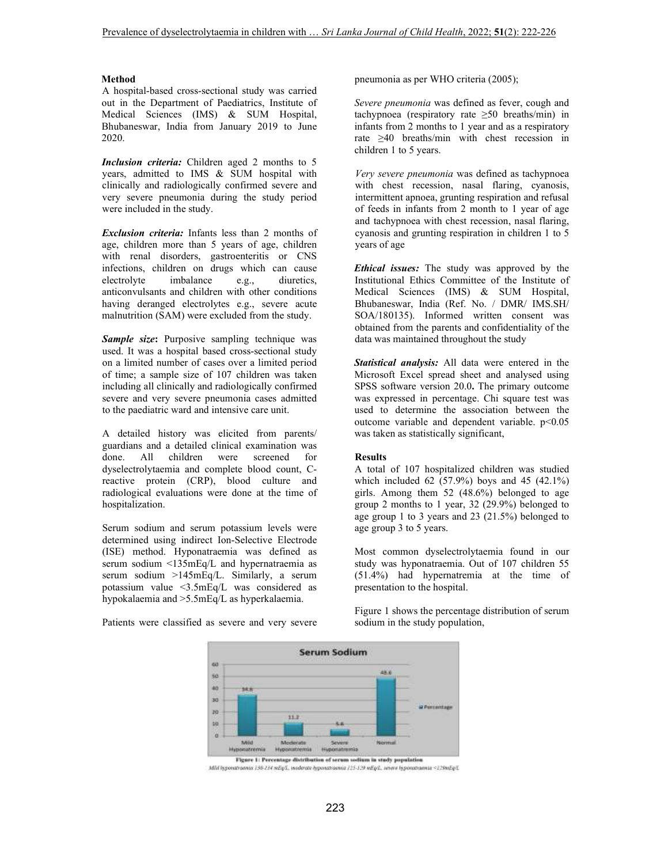# **Method**

A hospital-based cross-sectional study was carried out in the Department of Paediatrics, Institute of Medical Sciences (IMS) & SUM Hospital, Bhubaneswar, India from January 2019 to June 2020.

*Inclusion criteria:* Children aged 2 months to 5 years, admitted to IMS & SUM hospital with clinically and radiologically confirmed severe and very severe pneumonia during the study period were included in the study.

*Exclusion criteria:* Infants less than 2 months of age, children more than 5 years of age, children with renal disorders, gastroenteritis or CNS infections, children on drugs which can cause electrolyte imbalance e.g., diuretics, anticonvulsants and children with other conditions having deranged electrolytes e.g., severe acute malnutrition (SAM) were excluded from the study.

**Sample size:** Purposive sampling technique was used. It was a hospital based cross-sectional study on a limited number of cases over a limited period of time; a sample size of 107 children was taken including all clinically and radiologically confirmed severe and very severe pneumonia cases admitted to the paediatric ward and intensive care unit.

A detailed history was elicited from parents/ guardians and a detailed clinical examination was done. All children were screened for dyselectrolytaemia and complete blood count, Creactive protein (CRP), blood culture and radiological evaluations were done at the time of hospitalization.

Serum sodium and serum potassium levels were determined using indirect Ion-Selective Electrode (ISE) method. Hyponatraemia was defined as serum sodium <135mEq/L and hypernatraemia as serum sodium >145mEq/L. Similarly, a serum potassium value <3.5mEq/L was considered as hypokalaemia and >5.5mEq/L as hyperkalaemia.

Patients were classified as severe and very severe

pneumonia as per WHO criteria (2005);

*Severe pneumonia* was defined as fever, cough and tachypnoea (respiratory rate ≥50 breaths/min) in infants from 2 months to 1 year and as a respiratory rate ≥40 breaths/min with chest recession in children 1 to 5 years.

*Very severe pneumonia* was defined as tachypnoea with chest recession, nasal flaring, cyanosis, intermittent apnoea, grunting respiration and refusal of feeds in infants from 2 month to 1 year of age and tachypnoea with chest recession, nasal flaring, cyanosis and grunting respiration in children 1 to 5 years of age

*Ethical issues:* The study was approved by the Institutional Ethics Committee of the Institute of Medical Sciences (IMS) & SUM Hospital, Bhubaneswar, India (Ref. No. / DMR/ IMS.SH/ SOA/180135). Informed written consent was obtained from the parents and confidentiality of the data was maintained throughout the study

*Statistical analysis:* All data were entered in the Microsoft Excel spread sheet and analysed using SPSS software version 20.0**.** The primary outcome was expressed in percentage. Chi square test was used to determine the association between the outcome variable and dependent variable. p<0.05 was taken as statistically significant,

#### **Results**

A total of 107 hospitalized children was studied which included  $62$  (57.9%) boys and 45 (42.1%) girls. Among them 52 (48.6%) belonged to age group 2 months to 1 year, 32 (29.9%) belonged to age group 1 to 3 years and 23 (21.5%) belonged to age group 3 to 5 years.

Most common dyselectrolytaemia found in our study was hyponatraemia. Out of 107 children 55 (51.4%) had hypernatremia at the time of presentation to the hospital.

Figure 1 shows the percentage distribution of serum sodium in the study population,



Mill Inporatraenia 139-134 milg/L, inoderate hyporatraenia 125-139 mEp/L, severe Inporatraenia <129mEp/L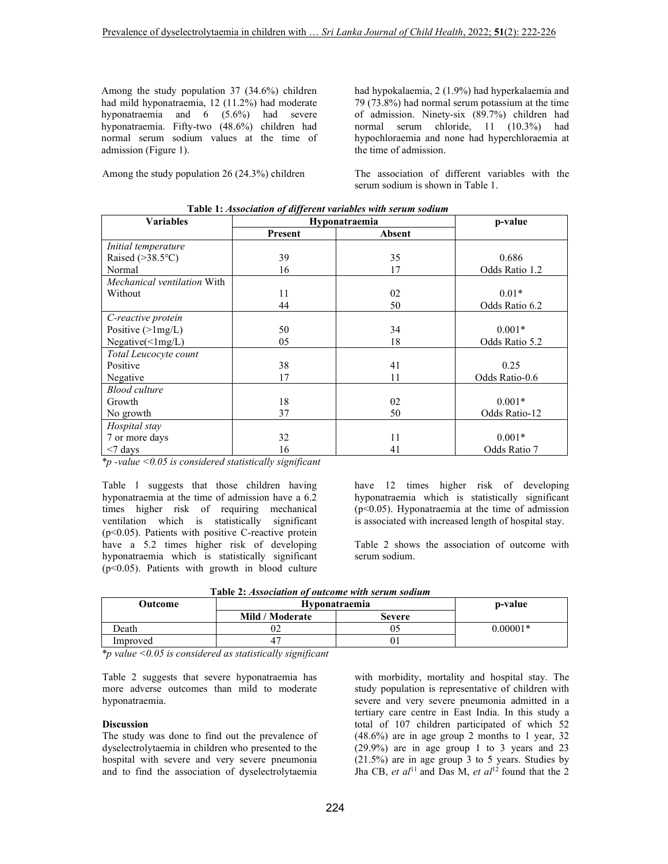Among the study population 37 (34.6%) children had mild hyponatraemia, 12 (11.2%) had moderate hyponatraemia and 6 (5.6%) had severe hyponatraemia. Fifty-two (48.6%) children had normal serum sodium values at the time of admission (Figure 1).

Among the study population 26 (24.3%) children

had hypokalaemia, 2 (1.9%) had hyperkalaemia and 79 (73.8%) had normal serum potassium at the time of admission. Ninety-six (89.7%) children had normal serum chloride, 11 (10.3%) had hypochloraemia and none had hyperchloraemia at the time of admission.

The association of different variables with the serum sodium is shown in Table 1.

| <b>Table 1: Association of all ferent variables with serum soutum</b> |               |        |                |  |  |  |
|-----------------------------------------------------------------------|---------------|--------|----------------|--|--|--|
| <b>Variables</b>                                                      | Hyponatraemia |        | p-value        |  |  |  |
|                                                                       | Present       | Absent |                |  |  |  |
| Initial temperature                                                   |               |        |                |  |  |  |
| Raised $(>38.5$ °C)                                                   | 39            | 35     | 0.686          |  |  |  |
| Normal                                                                | 16            | 17     | Odds Ratio 1.2 |  |  |  |
| Mechanical ventilation With                                           |               |        |                |  |  |  |
| Without                                                               | 11            | 02     | $0.01*$        |  |  |  |
|                                                                       | 44            | 50     | Odds Ratio 6.2 |  |  |  |
| C-reactive protein                                                    |               |        |                |  |  |  |
| Positive $(>\frac{1}{mg/L})$                                          | 50            | 34     | $0.001*$       |  |  |  |
| $Negative(\leq lmg/L)$                                                | 05            | 18     | Odds Ratio 5.2 |  |  |  |
| Total Leucocyte count                                                 |               |        |                |  |  |  |
| Positive                                                              | 38            | 41     | 0.25           |  |  |  |
| Negative                                                              | 17            | 11     | Odds Ratio-0.6 |  |  |  |
| <b>Blood culture</b>                                                  |               |        |                |  |  |  |
| Growth                                                                | 18            | 02     | $0.001*$       |  |  |  |
| No growth                                                             | 37            | 50     | Odds Ratio-12  |  |  |  |
| Hospital stay                                                         |               |        |                |  |  |  |
| 7 or more days                                                        | 32            | 11     | $0.001*$       |  |  |  |
| $<$ 7 days                                                            | 16            | 41     | Odds Ratio 7   |  |  |  |

**Table 1:** *Association of different variables with serum sodium* 

*\*p -value <0.05 is considered statistically significant* 

Table 1 suggests that those children having hyponatraemia at the time of admission have a 6.2 times higher risk of requiring mechanical ventilation which is statistically significant (p<0.05). Patients with positive C-reactive protein have a 5.2 times higher risk of developing hyponatraemia which is statistically significant (p<0.05). Patients with growth in blood culture

have 12 times higher risk of developing hyponatraemia which is statistically significant  $(p<0.05)$ . Hyponatraemia at the time of admission is associated with increased length of hospital stay.

Table 2 shows the association of outcome with serum sodium.

|  | Table 2: Association of outcome with serum sodium |
|--|---------------------------------------------------|
|--|---------------------------------------------------|

| Outcome  | <b>Hyponatraemia</b> |        | p-value    |
|----------|----------------------|--------|------------|
|          | Mild / Moderate      | Severe |            |
| Death    | 02                   |        | $0.00001*$ |
| Improved |                      | UΙ     |            |

*\*p value <0.05 is considered as statistically significant* 

Table 2 suggests that severe hyponatraemia has more adverse outcomes than mild to moderate hyponatraemia.

### **Discussion**

The study was done to find out the prevalence of dyselectrolytaemia in children who presented to the hospital with severe and very severe pneumonia and to find the association of dyselectrolytaemia

with morbidity, mortality and hospital stay. The study population is representative of children with severe and very severe pneumonia admitted in a tertiary care centre in East India. In this study a total of 107 children participated of which 52 (48.6%) are in age group 2 months to 1 year, 32 (29.9%) are in age group 1 to 3 years and 23 (21.5%) are in age group 3 to 5 years. Studies by Jha CB, *et al*<sup>11</sup> and Das M, *et al*<sup>12</sup> found that the 2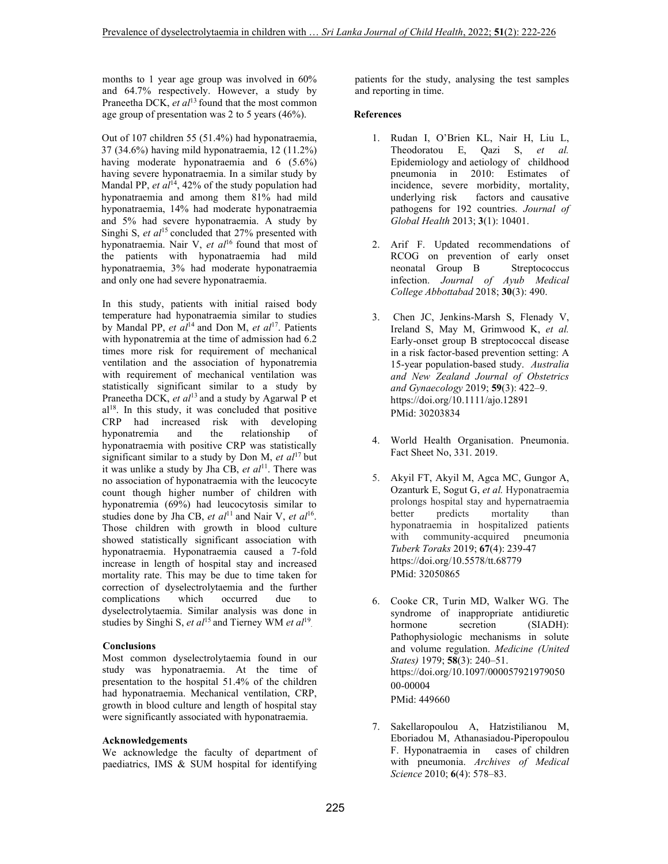months to 1 year age group was involved in 60% and 64.7% respectively. However, a study by Praneetha DCK, *et al*<sup>13</sup> found that the most common age group of presentation was 2 to 5 years (46%).

Out of 107 children 55 (51.4%) had hyponatraemia, 37 (34.6%) having mild hyponatraemia, 12 (11.2%) having moderate hyponatraemia and 6 (5.6%) having severe hyponatraemia. In a similar study by Mandal PP, et al<sup>14</sup>, 42% of the study population had hyponatraemia and among them 81% had mild hyponatraemia, 14% had moderate hyponatraemia and 5% had severe hyponatraemia. A study by Singhi S, *et al*<sup>15</sup> concluded that 27% presented with hyponatraemia. Nair V, *et al*<sup>16</sup> found that most of the patients with hyponatraemia had mild hyponatraemia, 3% had moderate hyponatraemia and only one had severe hyponatraemia.

In this study, patients with initial raised body temperature had hyponatraemia similar to studies by Mandal PP, *et al*<sup>14</sup> and Don M, *et al*<sup>17</sup>. Patients with hyponatremia at the time of admission had 6.2 times more risk for requirement of mechanical ventilation and the association of hyponatremia with requirement of mechanical ventilation was statistically significant similar to a study by Praneetha DCK, et al<sup>13</sup> and a study by Agarwal P et al<sup>18</sup>. In this study, it was concluded that positive CRP had increased risk with developing hyponatremia and the relationship of hyponatraemia with positive CRP was statistically significant similar to a study by Don M,  $et$   $al<sup>17</sup>$  but it was unlike a study by Jha CB, *et al*<sup>11</sup>. There was no association of hyponatraemia with the leucocyte count though higher number of children with hyponatremia (69%) had leucocytosis similar to studies done by Jha CB, *et al*<sup>11</sup> and Nair V, *et al*<sup>16</sup>. Those children with growth in blood culture showed statistically significant association with hyponatraemia. Hyponatraemia caused a 7-fold increase in length of hospital stay and increased mortality rate. This may be due to time taken for correction of dyselectrolytaemia and the further complications which occurred due to dyselectrolytaemia. Similar analysis was done in studies by Singhi S, *et al*<sup>15</sup> and Tierney WM *et al*<sup>19</sup>.

# **Conclusions**

Most common dyselectrolytaemia found in our study was hyponatraemia. At the time of presentation to the hospital 51.4% of the children had hyponatraemia. Mechanical ventilation, CRP, growth in blood culture and length of hospital stay were significantly associated with hyponatraemia.

# **Acknowledgements**

We acknowledge the faculty of department of paediatrics, IMS & SUM hospital for identifying patients for the study, analysing the test samples and reporting in time.

### **References**

- 1. Rudan I, O'Brien KL, Nair H, Liu L, Theodoratou E, Qazi S, *et al.*  Epidemiology and aetiology of childhood<br>
pneumonia in 2010: Estimates of pneumonia in 2010: Estimates incidence, severe morbidity, mortality, underlying risk factors and causative pathogens for 192 countries. *Journal of Global Health* 2013; **3**(1): 10401.
- 2. Arif F. Updated recommendations of RCOG on prevention of early onset neonatal Group B Streptococcus infection. *Journal of Ayub Medical College Abbottabad* 2018; **30**(3): 490.
- 3. Chen JC, Jenkins-Marsh S, Flenady V, Ireland S, May M, Grimwood K, *et al.*  Early-onset group B streptococcal disease in a risk factor-based prevention setting: A 15-year population-based study. *Australia and New Zealand Journal of Obstetrics and Gynaecology* 2019; **59**(3): 422–9. https://doi.org/10.1111/ajo.12891 PMid: 30203834
- 4. World Health Organisation. Pneumonia. Fact Sheet No, 331. 2019.
- 5. Akyil FT, Akyil M, Agca MC, Gungor A, Ozanturk E, Sogut G, *et al.* Hyponatraemia prolongs hospital stay and hypernatraemia better predicts mortality than hyponatraemia in hospitalized patients with community-acquired pneumonia *Tuberk Toraks* 2019; **67**(4): 239-47 https://doi.org/10.5578/tt.68779 PMid: 32050865
- 6. Cooke CR, Turin MD, Walker WG. The syndrome of inappropriate antidiuretic hormone secretion (SIADH): Pathophysiologic mechanisms in solute and volume regulation. *Medicine (United States)* 1979; **58**(3): 240–51. https://doi.org/10.1097/000057921979050 00-00004 PMid: 449660
- 7. Sakellaropoulou A, Hatzistilianou M, Eboriadou M, Athanasiadou-Piperopoulou F. Hyponatraemia in cases of children with pneumonia. *Archives of Medical Science* 2010; **6**(4): 578–83.